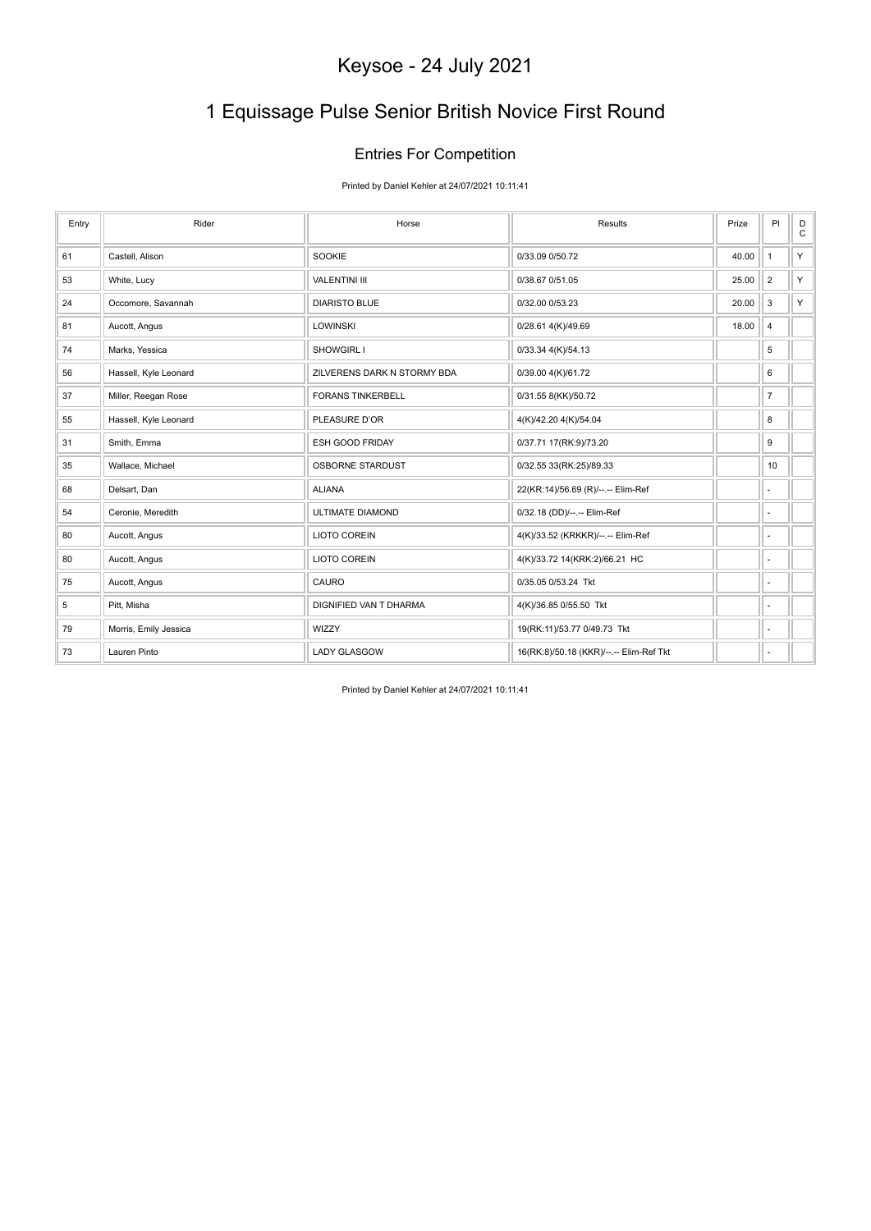# 1 Equissage Pulse Senior British Novice First Round

### Entries For Competition

Printed by Daniel Kehler at 24/07/2021 10:11:41

| Entry | Rider                 | Horse                       | Results                                 | Prize | PI                       | D<br>$\mathsf C$ |
|-------|-----------------------|-----------------------------|-----------------------------------------|-------|--------------------------|------------------|
| 61    | Castell, Alison       | SOOKIE                      | 0/33.09 0/50.72                         | 40.00 | $\mathbf{1}$             | Y.               |
| 53    | White, Lucy           | <b>VALENTINI III</b>        | 0/38.67 0/51.05                         | 25.00 | $\overline{2}$           | Y.               |
| 24    | Occomore, Savannah    | <b>DIARISTO BLUE</b>        | 0/32.00 0/53.23                         | 20.00 | 3                        | Y.               |
| 81    | Aucott, Angus         | <b>LOWINSKI</b>             | 0/28.61 4(K)/49.69                      | 18.00 | $\overline{\mathbf{4}}$  |                  |
| 74    | Marks, Yessica        | SHOWGIRL I                  | 0/33.34 4(K)/54.13                      |       | 5                        |                  |
| 56    | Hassell, Kyle Leonard | ZILVERENS DARK N STORMY BDA | 0/39.00 4(K)/61.72                      |       | 6                        |                  |
| 37    | Miller, Reegan Rose   | <b>FORANS TINKERBELL</b>    | 0/31.55 8(KK)/50.72                     |       | $\overline{7}$           |                  |
| 55    | Hassell, Kyle Leonard | PLEASURE D'OR               | 4(K)/42.20 4(K)/54.04                   |       | 8                        |                  |
| 31    | Smith, Emma           | ESH GOOD FRIDAY             | 0/37.71 17(RK:9)/73.20                  |       | 9                        |                  |
| 35    | Wallace, Michael      | <b>OSBORNE STARDUST</b>     | 0/32.55 33(RK:25)/89.33                 |       | 10                       |                  |
| 68    | Delsart, Dan          | <b>ALIANA</b>               | 22(KR:14)/56.69 (R)/--.-- Elim-Ref      |       | $\overline{\phantom{a}}$ |                  |
| 54    | Ceronie, Meredith     | <b>ULTIMATE DIAMOND</b>     | 0/32.18 (DD)/--.-- Elim-Ref             |       | $\overline{\phantom{a}}$ |                  |
| 80    | Aucott, Angus         | LIOTO COREIN                | 4(K)/33.52 (KRKKR)/--.-- Elim-Ref       |       | $\overline{\phantom{a}}$ |                  |
| 80    | Aucott, Angus         | LIOTO COREIN                | 4(K)/33.72 14(KRK:2)/66.21 HC           |       | ٠                        |                  |
| 75    | Aucott, Angus         | CAURO                       | 0/35.05 0/53.24 Tkt                     |       | ٠                        |                  |
| 5     | Pitt, Misha           | DIGNIFIED VAN T DHARMA      | 4(K)/36.85 0/55.50 Tkt                  |       | ٠                        |                  |
| 79    | Morris, Emily Jessica | WIZZY                       | 19(RK:11)/53.77 0/49.73 Tkt             |       | ٠                        |                  |
| 73    | Lauren Pinto          | <b>LADY GLASGOW</b>         | 16(RK:8)/50.18 (KKR)/--.-- Elim-Ref Tkt |       | ٠                        |                  |

Printed by Daniel Kehler at 24/07/2021 10:11:41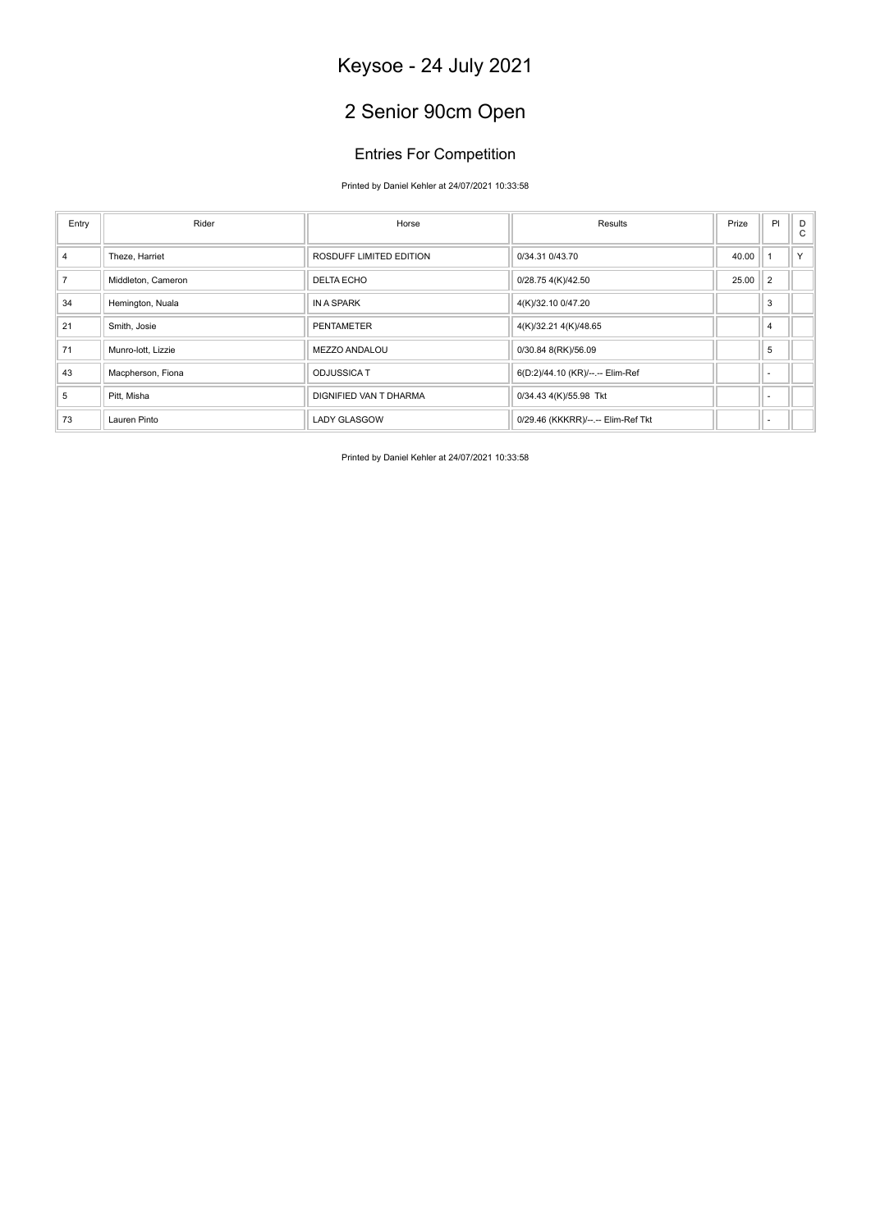# 2 Senior 90cm Open

### Entries For Competition

### Printed by Daniel Kehler at 24/07/2021 10:33:58

| Entry          | Rider              | Horse                   | Results                            | Prize | PI                       | D<br>$\mathbf{C}$ |
|----------------|--------------------|-------------------------|------------------------------------|-------|--------------------------|-------------------|
| $\overline{4}$ | Theze, Harriet     | ROSDUFF LIMITED EDITION | 0/34.31 0/43.70                    | 40.00 |                          | $\vee$            |
| $\overline{7}$ | Middleton, Cameron | <b>DELTA ECHO</b>       | 0/28.75 4(K)/42.50                 | 25.00 | $\overline{2}$           |                   |
| 34             | Hemington, Nuala   | IN A SPARK              | 4(K)/32.10 0/47.20                 |       | 3                        |                   |
| 21             | Smith, Josie       | <b>PENTAMETER</b>       | 4(K)/32.21 4(K)/48.65              |       | $\overline{4}$           |                   |
| 71             | Munro-lott, Lizzie | MEZZO ANDALOU           | 0/30.84 8(RK)/56.09                |       | 5                        |                   |
| 43             | Macpherson, Fiona  | <b>ODJUSSICA T</b>      | 6(D:2)/44.10 (KR)/--.-- Elim-Ref   |       | $\overline{\phantom{a}}$ |                   |
| 5              | Pitt, Misha        | DIGNIFIED VAN T DHARMA  | 0/34.43 4(K)/55.98 Tkt             |       | $\overline{\phantom{a}}$ |                   |
| 73             | Lauren Pinto       | <b>LADY GLASGOW</b>     | 0/29.46 (KKKRR)/--.-- Elim-Ref Tkt |       | $\overline{\phantom{a}}$ |                   |

Printed by Daniel Kehler at 24/07/2021 10:33:58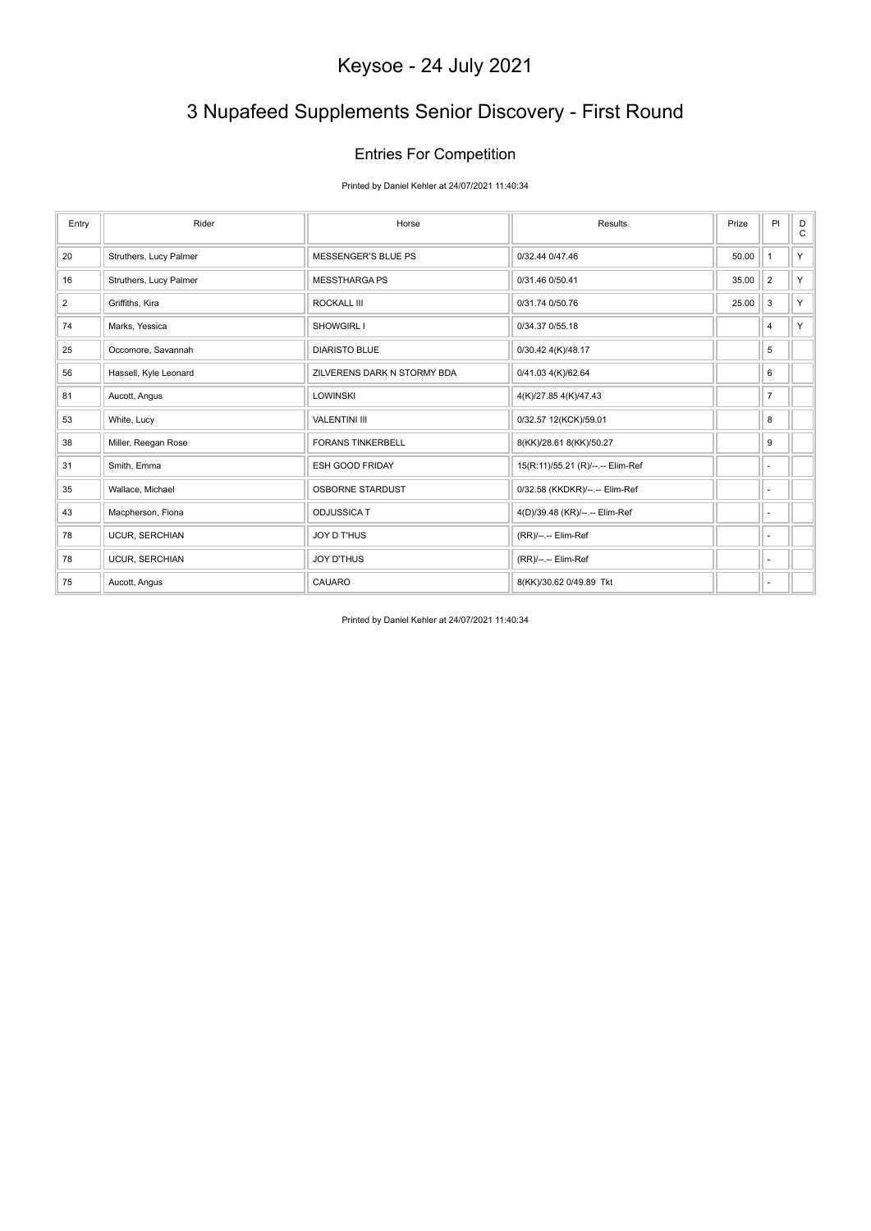# 3 Nupafeed Supplements Senior Discovery - First Round

### Entries For Competition

Printed by Daniel Kehler at 24/07/2021 11:40:34

| Entry          | Rider                  | Horse                       | Results                           | Prize | PI                       | D<br>$\mathsf{C}$ |
|----------------|------------------------|-----------------------------|-----------------------------------|-------|--------------------------|-------------------|
| 20             | Struthers, Lucy Palmer | <b>MESSENGER'S BLUE PS</b>  | 0/32.44 0/47.46                   | 50.00 | $\mathbf{1}$             | Y                 |
| 16             | Struthers, Lucy Palmer | <b>MESSTHARGA PS</b>        | 0/31.46 0/50.41                   | 35.00 | $\overline{2}$           | Y.                |
| $\overline{2}$ | Griffiths, Kira        | <b>ROCKALL III</b>          | 0/31.74 0/50.76                   | 25.00 | 3                        | Y                 |
| 74             | Marks, Yessica         | <b>SHOWGIRL I</b>           | 0/34.37 0/55.18                   |       | $\overline{4}$           | Y                 |
| 25             | Occomore, Savannah     | <b>DIARISTO BLUE</b>        | 0/30.42 4(K)/48.17                |       | 5                        |                   |
| 56             | Hassell, Kyle Leonard  | ZILVERENS DARK N STORMY BDA | 0/41.03 4(K)/62.64                |       | 6                        |                   |
| 81             | Aucott, Angus          | <b>LOWINSKI</b>             | 4(K)/27.85 4(K)/47.43             |       | $\overline{7}$           |                   |
| 53             | White, Lucy            | <b>VALENTINI III</b>        | 0/32.57 12(KCK)/59.01             |       | 8                        |                   |
| 38             | Miller, Reegan Rose    | <b>FORANS TINKERBELL</b>    | 8(KK)/28.61 8(KK)/50.27           |       | 9                        |                   |
| 31             | Smith, Emma            | ESH GOOD FRIDAY             | 15(R:11)/55.21 (R)/--.-- Elim-Ref |       | $\sim$                   |                   |
| 35             | Wallace, Michael       | <b>OSBORNE STARDUST</b>     | 0/32.58 (KKDKR)/--.-- Elim-Ref    |       | $\sim$                   |                   |
| 43             | Macpherson, Fiona      | <b>ODJUSSICA T</b>          | 4(D)/39.48 (KR)/--.-- Elim-Ref    |       | ٠                        |                   |
| 78             | <b>UCUR, SERCHIAN</b>  | <b>JOY D T'HUS</b>          | (RR)/--.-- Elim-Ref               |       | $\sim$                   |                   |
| 78             | UCUR, SERCHIAN         | <b>JOY D'THUS</b>           | (RR)/--.-- Elim-Ref               |       | $\sim$                   |                   |
| 75             | Aucott, Angus          | CAUARO                      | 8(KK)/30.62 0/49.89 Tkt           |       | $\overline{\phantom{a}}$ |                   |

Printed by Daniel Kehler at 24/07/2021 11:40:34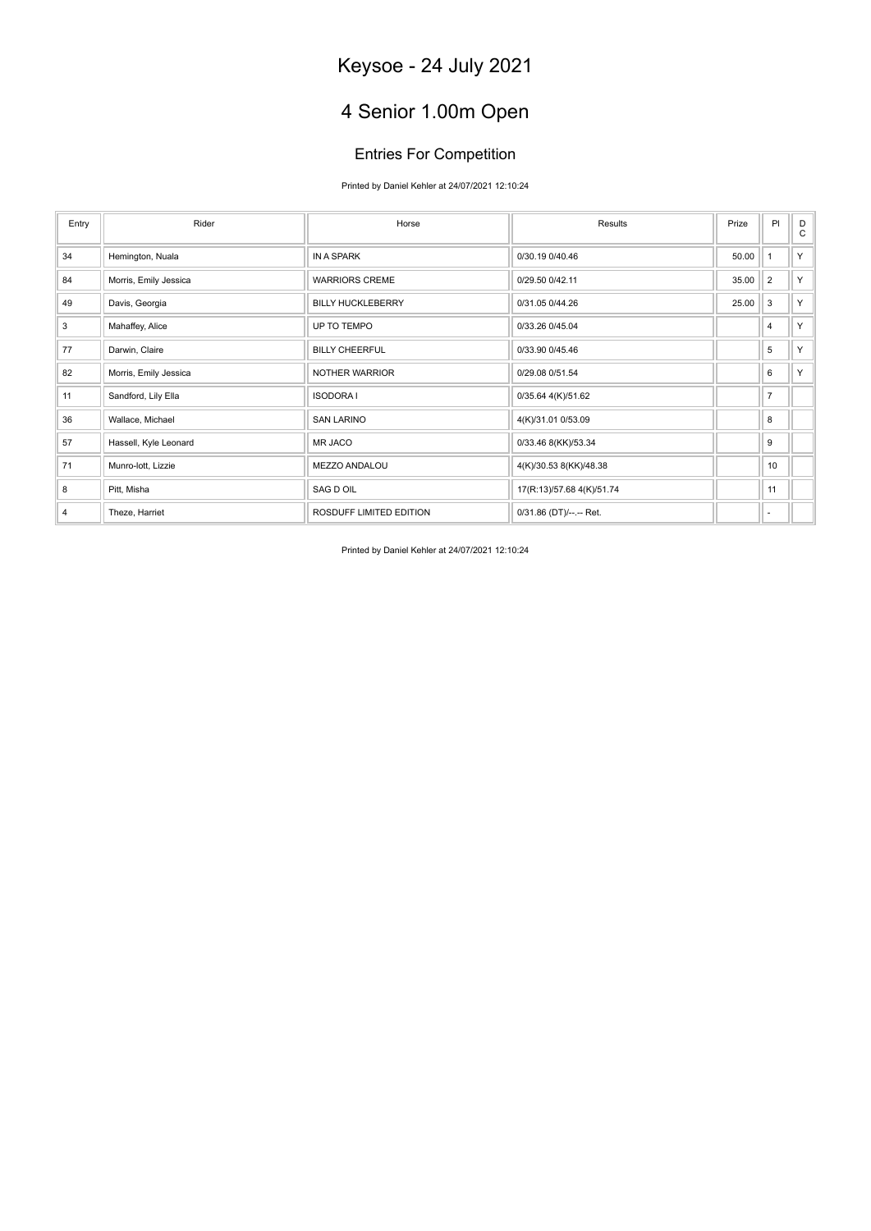# 4 Senior 1.00m Open

### Entries For Competition

Printed by Daniel Kehler at 24/07/2021 12:10:24

| Entry          | Rider                 | Horse                    | Results                   | Prize | PI             | D<br>C |
|----------------|-----------------------|--------------------------|---------------------------|-------|----------------|--------|
| 34             | Hemington, Nuala      | IN A SPARK               | 0/30.19 0/40.46           | 50.00 | $\overline{1}$ | Y      |
| 84             | Morris, Emily Jessica | <b>WARRIORS CREME</b>    | 0/29.50 0/42.11           | 35.00 | $\overline{2}$ | Y.     |
| 49             | Davis, Georgia        | <b>BILLY HUCKLEBERRY</b> | 0/31.05 0/44.26           | 25.00 | 3              | Y.     |
| 3              | Mahaffey, Alice       | UP TO TEMPO              | 0/33.26 0/45.04           |       | 4              | Y      |
| 77             | Darwin, Claire        | <b>BILLY CHEERFUL</b>    | 0/33.90 0/45.46           |       | 5              | Y.     |
| 82             | Morris, Emily Jessica | NOTHER WARRIOR           | 0/29.08 0/51.54           |       | 6              | Y.     |
| 11             | Sandford, Lily Ella   | <b>ISODORA I</b>         | 0/35.64 4(K)/51.62        |       | $\overline{7}$ |        |
| 36             | Wallace, Michael      | <b>SAN LARINO</b>        | 4(K)/31.01 0/53.09        |       | 8              |        |
| 57             | Hassell, Kyle Leonard | MR JACO                  | 0/33.46 8(KK)/53.34       |       | 9              |        |
| 71             | Munro-lott, Lizzie    | MEZZO ANDALOU            | 4(K)/30.53 8(KK)/48.38    |       | 10             |        |
| 8              | Pitt, Misha           | SAG D OIL                | 17(R:13)/57.68 4(K)/51.74 |       | 11             |        |
| $\overline{4}$ | Theze, Harriet        | ROSDUFF LIMITED EDITION  | 0/31.86 (DT)/--.-- Ret.   |       | ٠              |        |

Printed by Daniel Kehler at 24/07/2021 12:10:24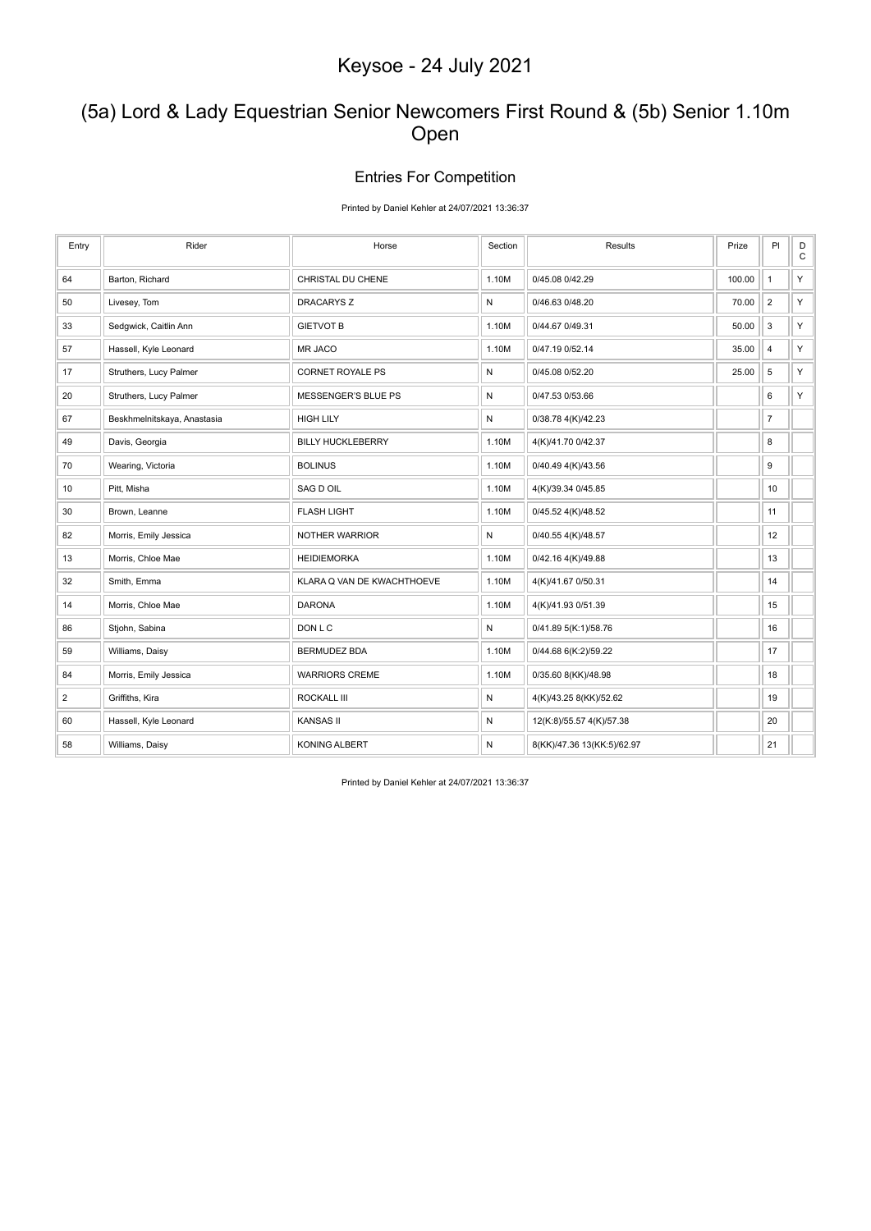### (5a) Lord & Lady Equestrian Senior Newcomers First Round & (5b) Senior 1.10m Open

### Entries For Competition

#### Printed by Daniel Kehler at 24/07/2021 13:36:37

| Entry            | Rider                       | Horse                      | Section      | Results                    | Prize  | PI                        | $_{\rm C}^{\rm D}$ |
|------------------|-----------------------------|----------------------------|--------------|----------------------------|--------|---------------------------|--------------------|
| 64               | Barton, Richard             | CHRISTAL DU CHENE          | 1.10M        | 0/45.08 0/42.29            | 100.00 | $\mathbf{1}$              | Y                  |
| 50               | Livesey, Tom                | <b>DRACARYS Z</b>          | $\mathsf{N}$ | 0/46.63 0/48.20            | 70.00  | $\overline{2}$            | Y                  |
| 33               | Sedgwick, Caitlin Ann       | <b>GIETVOT B</b>           | 1.10M        | 0/44.67 0/49.31            | 50.00  | $\ensuremath{\mathsf{3}}$ | Y.                 |
| 57               | Hassell, Kyle Leonard       | MR JACO                    | 1.10M        | 0/47.19 0/52.14            | 35.00  | $\overline{4}$            | Y.                 |
| 17               | Struthers, Lucy Palmer      | <b>CORNET ROYALE PS</b>    | ${\sf N}$    | 0/45.08 0/52.20            | 25.00  | 5                         | Y                  |
| 20               | Struthers, Lucy Palmer      | <b>MESSENGER'S BLUE PS</b> | N            | 0/47.53 0/53.66            |        | 6                         | Y.                 |
| 67               | Beskhmelnitskaya, Anastasia | <b>HIGH LILY</b>           | ${\sf N}$    | 0/38.78 4(K)/42.23         |        | $\overline{7}$            |                    |
| 49               | Davis, Georgia              | <b>BILLY HUCKLEBERRY</b>   | 1.10M        | 4(K)/41.70 0/42.37         |        | 8                         |                    |
| 70               | Wearing, Victoria           | <b>BOLINUS</b>             | 1.10M        | 0/40.49 4(K)/43.56         |        | 9                         |                    |
| 10               | Pitt, Misha                 | SAG D OIL                  | 1.10M        | 4(K)/39.34 0/45.85         |        | 10                        |                    |
| 30               | Brown, Leanne               | <b>FLASH LIGHT</b>         | 1.10M        | 0/45.52 4(K)/48.52         |        | 11                        |                    |
| 82               | Morris, Emily Jessica       | NOTHER WARRIOR             | N            | 0/40.55 4(K)/48.57         |        | 12                        |                    |
| 13               | Morris, Chloe Mae           | <b>HEIDIEMORKA</b>         | 1.10M        | 0/42.16 4(K)/49.88         |        | 13                        |                    |
| 32               | Smith, Emma                 | KLARA Q VAN DE KWACHTHOEVE | 1.10M        | 4(K)/41.67 0/50.31         |        | 14                        |                    |
| 14               | Morris, Chloe Mae           | <b>DARONA</b>              | 1.10M        | 4(K)/41.93 0/51.39         |        | 15                        |                    |
| 86               | Stjohn, Sabina              | DON L C                    | ${\sf N}$    | 0/41.89 5(K:1)/58.76       |        | 16                        |                    |
| 59               | Williams, Daisy             | <b>BERMUDEZ BDA</b>        | 1.10M        | 0/44.68 6(K:2)/59.22       |        | 17                        |                    |
| 84               | Morris, Emily Jessica       | <b>WARRIORS CREME</b>      | 1.10M        | 0/35.60 8(KK)/48.98        |        | 18                        |                    |
| $\boldsymbol{2}$ | Griffiths, Kira             | <b>ROCKALL III</b>         | $\mathsf{N}$ | 4(K)/43.25 8(KK)/52.62     |        | 19                        |                    |
| 60               | Hassell, Kyle Leonard       | <b>KANSAS II</b>           | N            | 12(K:8)/55.57 4(K)/57.38   |        | 20                        |                    |
| 58               | Williams, Daisy             | <b>KONING ALBERT</b>       | N            | 8(KK)/47.36 13(KK:5)/62.97 |        | 21                        |                    |

Printed by Daniel Kehler at 24/07/2021 13:36:37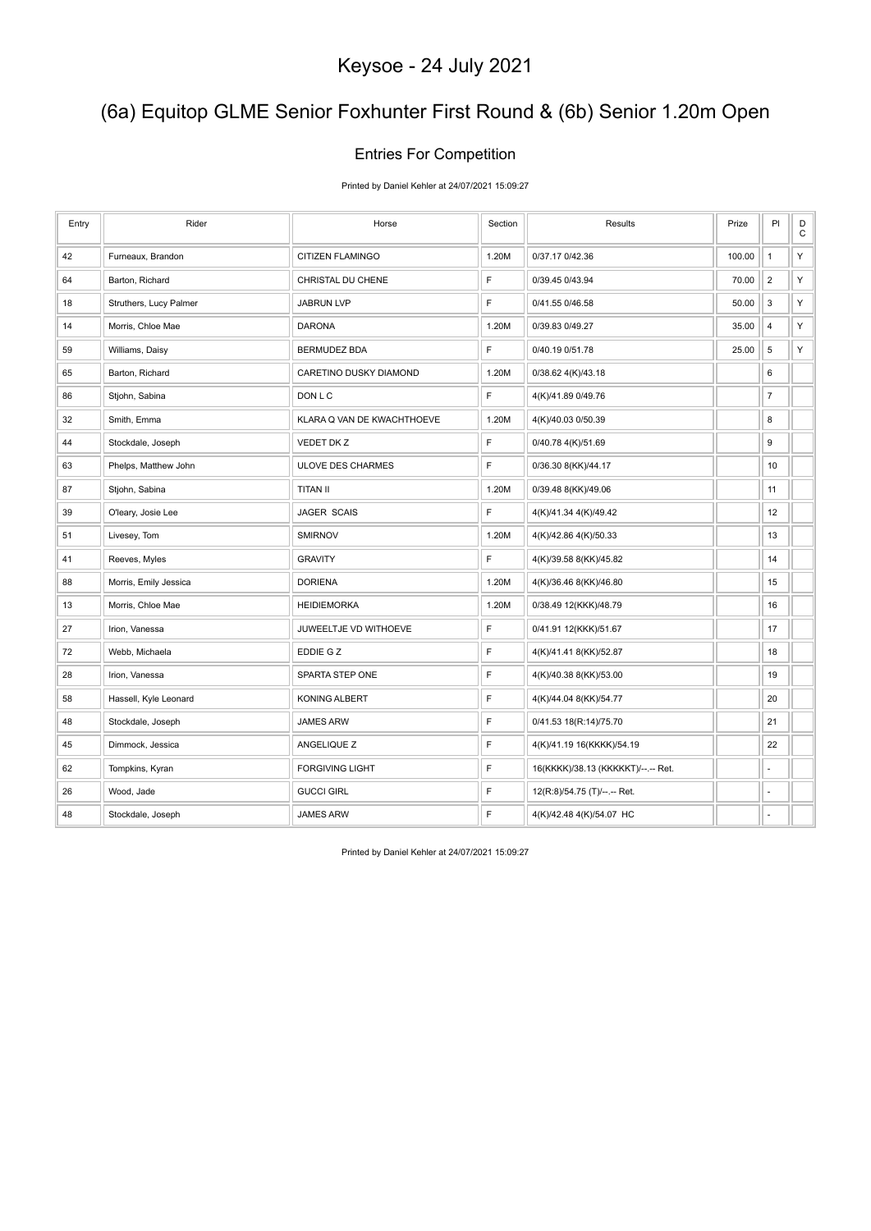### (6a) Equitop GLME Senior Foxhunter First Round & (6b) Senior 1.20m Open

### Entries For Competition

Printed by Daniel Kehler at 24/07/2021 15:09:27

| Entry | Rider                  | Horse                      | Section      | Results                            | Prize  | PI                      | D<br>$\mathbf C$ |
|-------|------------------------|----------------------------|--------------|------------------------------------|--------|-------------------------|------------------|
| 42    | Furneaux, Brandon      | <b>CITIZEN FLAMINGO</b>    | 1.20M        | 0/37.17 0/42.36                    | 100.00 | $\mathbf{1}$            | Υ                |
| 64    | Barton, Richard        | CHRISTAL DU CHENE          | $\mathsf F$  | 0/39.45 0/43.94                    | 70.00  | $\overline{2}$          | Υ                |
| 18    | Struthers, Lucy Palmer | <b>JABRUN LVP</b>          | $\mathsf F$  | 0/41.55 0/46.58                    | 50.00  | 3                       | Υ                |
| 14    | Morris, Chloe Mae      | <b>DARONA</b>              | 1.20M        | 0/39.83 0/49.27                    | 35.00  | $\overline{\mathbf{4}}$ | Υ                |
| 59    | Williams, Daisy        | <b>BERMUDEZ BDA</b>        | $\mathsf{F}$ | 0/40.19 0/51.78                    | 25.00  | $\sqrt{5}$              | Υ                |
| 65    | Barton, Richard        | CARETINO DUSKY DIAMOND     | 1.20M        | 0/38.62 4(K)/43.18                 |        | 6                       |                  |
| 86    | Stjohn, Sabina         | DON L C                    | F            | 4(K)/41.89 0/49.76                 |        | $\overline{7}$          |                  |
| 32    | Smith, Emma            | KLARA Q VAN DE KWACHTHOEVE | 1.20M        | 4(K)/40.03 0/50.39                 |        | 8                       |                  |
| 44    | Stockdale, Joseph      | VEDET DK Z                 | $\mathsf F$  | 0/40.78 4(K)/51.69                 |        | 9                       |                  |
| 63    | Phelps, Matthew John   | <b>ULOVE DES CHARMES</b>   | $\mathsf F$  | 0/36.30 8(KK)/44.17                |        | 10                      |                  |
| 87    | Stjohn, Sabina         | <b>TITAN II</b>            | 1.20M        | 0/39.48 8(KK)/49.06                |        | 11                      |                  |
| 39    | O'leary, Josie Lee     | JAGER SCAIS                | F            | 4(K)/41.34 4(K)/49.42              |        | 12                      |                  |
| 51    | Livesey, Tom           | <b>SMIRNOV</b>             | 1.20M        | 4(K)/42.86 4(K)/50.33              |        | 13                      |                  |
| 41    | Reeves, Myles          | <b>GRAVITY</b>             | F            | 4(K)/39.58 8(KK)/45.82             |        | 14                      |                  |
| 88    | Morris, Emily Jessica  | <b>DORIENA</b>             | 1.20M        | 4(K)/36.46 8(KK)/46.80             |        | 15                      |                  |
| 13    | Morris, Chloe Mae      | <b>HEIDIEMORKA</b>         | 1.20M        | 0/38.49 12(KKK)/48.79              |        | 16                      |                  |
| 27    | Irion, Vanessa         | JUWEELTJE VD WITHOEVE      | $\mathsf F$  | 0/41.91 12(KKK)/51.67              |        | 17                      |                  |
| 72    | Webb, Michaela         | EDDIE G Z                  | $\mathsf F$  | 4(K)/41.41 8(KK)/52.87             |        | 18                      |                  |
| 28    | Irion, Vanessa         | SPARTA STEP ONE            | $\mathsf F$  | 4(K)/40.38 8(KK)/53.00             |        | 19                      |                  |
| 58    | Hassell, Kyle Leonard  | KONING ALBERT              | $\mathsf F$  | 4(K)/44.04 8(KK)/54.77             |        | 20                      |                  |
| 48    | Stockdale, Joseph      | <b>JAMES ARW</b>           | $\mathsf F$  | 0/41.53 18(R:14)/75.70             |        | 21                      |                  |
| 45    | Dimmock, Jessica       | ANGELIQUE Z                | $\mathsf F$  | 4(K)/41.19 16(KKKK)/54.19          |        | 22                      |                  |
| 62    | Tompkins, Kyran        | <b>FORGIVING LIGHT</b>     | $\mathsf F$  | 16(KKKK)/38.13 (KKKKKT)/--.-- Ret. |        | ä,                      |                  |
| 26    | Wood, Jade             | <b>GUCCI GIRL</b>          | $\mathsf F$  | 12(R:8)/54.75 (T)/--.-- Ret.       |        | ÷,                      |                  |
| 48    | Stockdale, Joseph      | <b>JAMES ARW</b>           | $\mathsf F$  | 4(K)/42.48 4(K)/54.07 HC           |        | ä,                      |                  |

Printed by Daniel Kehler at 24/07/2021 15:09:27